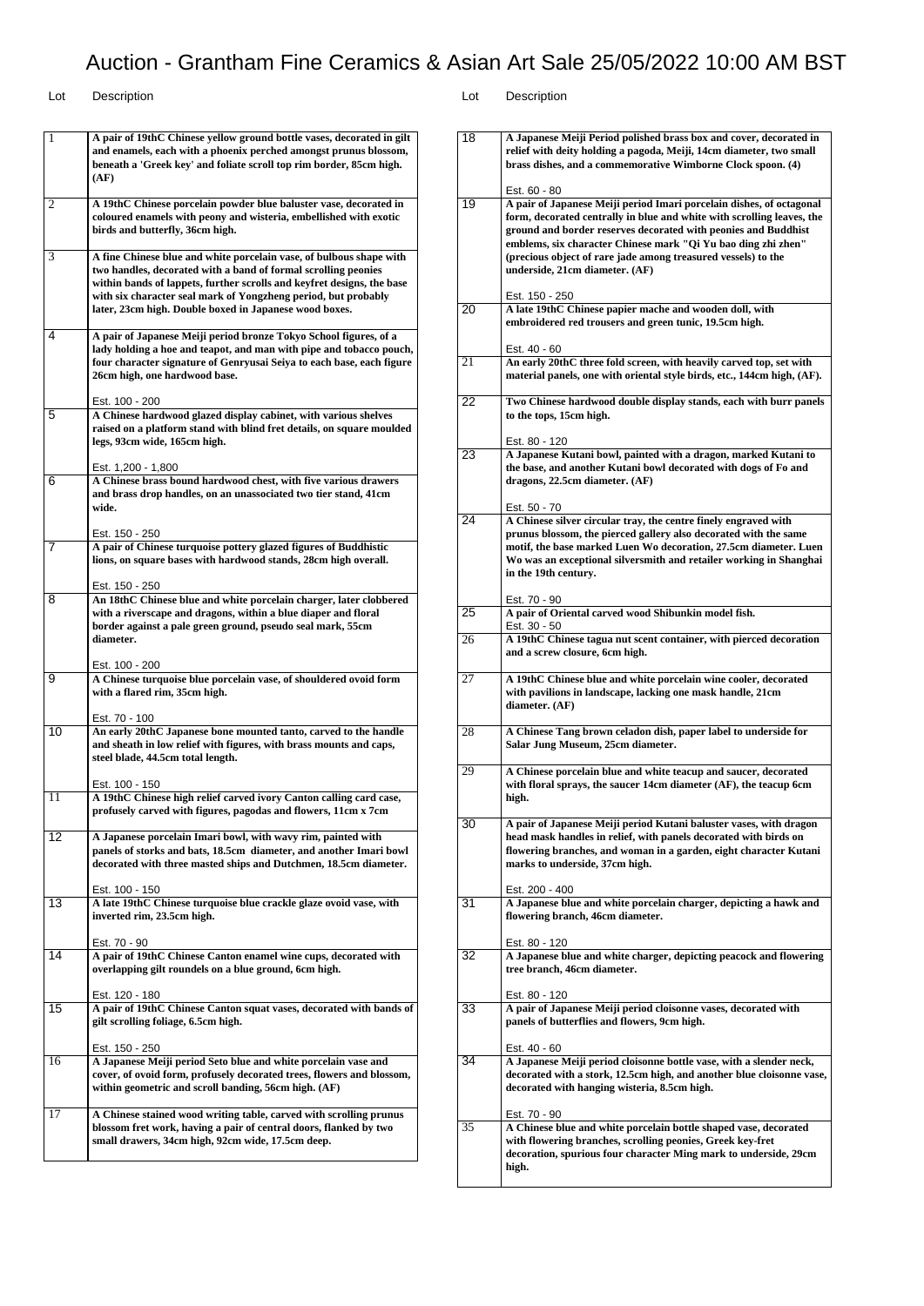| 1               | A pair of 19thC Chinese yellow ground bottle vases, decorated in gilt<br>and enamels, each with a phoenix perched amongst prunus blossom,<br>beneath a 'Greek key' and foliate scroll top rim border, 85cm high.<br>(AF)                                                                                                                    |
|-----------------|---------------------------------------------------------------------------------------------------------------------------------------------------------------------------------------------------------------------------------------------------------------------------------------------------------------------------------------------|
| 2               | A 19thC Chinese porcelain powder blue baluster vase, decorated in<br>coloured enamels with peony and wisteria, embellished with exotic<br>birds and butterfly, 36cm high.                                                                                                                                                                   |
| 3               | A fine Chinese blue and white porcelain vase, of bulbous shape with<br>two handles, decorated with a band of formal scrolling peonies<br>within bands of lappets, further scrolls and keyfret designs, the base<br>with six character seal mark of Yongzheng period, but probably<br>later, 23cm high. Double boxed in Japanese wood boxes. |
| 4               | A pair of Japanese Meiji period bronze Tokyo School figures, of a<br>lady holding a hoe and teapot, and man with pipe and tobacco pouch,<br>four character signature of Genryusai Seiya to each base, each figure<br>26cm high, one hardwood base.                                                                                          |
| 5               | Est. 100 - 200<br>A Chinese hardwood glazed display cabinet, with various shelves<br>raised on a platform stand with blind fret details, on square moulded<br>legs, 93cm wide, 165cm high.                                                                                                                                                  |
| 6               | Est. 1,200 - 1,800<br>A Chinese brass bound hardwood chest, with five various drawers<br>and brass drop handles, on an unassociated two tier stand, 41cm<br>wide.                                                                                                                                                                           |
| 7               | Est. 150 - 250<br>A pair of Chinese turquoise pottery glazed figures of Buddhistic<br>lions, on square bases with hardwood stands, 28cm high overall.                                                                                                                                                                                       |
| 8               | Est. 150 - 250<br>An 18thC Chinese blue and white porcelain charger, later clobbered<br>with a riverscape and dragons, within a blue diaper and floral<br>border against a pale green ground, pseudo seal mark, 55cm<br>diameter.                                                                                                           |
| 9               | Est. 100 - 200<br>A Chinese turquoise blue porcelain vase, of shouldered ovoid form<br>with a flared rim, 35cm high.                                                                                                                                                                                                                        |
| 10              | Est. 70 - 100<br>An early 20thC Japanese bone mounted tanto, carved to the handle<br>and sheath in low relief with figures, with brass mounts and caps,<br>steel blade, 44.5cm total length.<br>Est. 100 - 150                                                                                                                              |
| 11              | A 19thC Chinese high relief carved ivory Canton calling card case,<br>profusely carved with figures, pagodas and flowers, 11cm x 7cm                                                                                                                                                                                                        |
| 12              | A Japanese porcelain Imari bowl, with wavy rim, painted with<br>panels of storks and bats, 18.5cm diameter, and another Imari bowl<br>decorated with three masted ships and Dutchmen, 18.5cm diameter.                                                                                                                                      |
| $\overline{13}$ | Est. 100 - 150<br>A late 19thC Chinese turquoise blue crackle glaze ovoid vase, with<br>inverted rim, 23.5cm high.                                                                                                                                                                                                                          |
| 14              | Est. 70 - 90<br>A pair of 19thC Chinese Canton enamel wine cups, decorated with<br>overlapping gilt roundels on a blue ground, 6cm high.                                                                                                                                                                                                    |
| 15              | Est. 120 - 180<br>A pair of 19thC Chinese Canton squat vases, decorated with bands of<br>gilt scrolling foliage, 6.5cm high.<br>Est. 150 - 250                                                                                                                                                                                              |
| 16              | A Japanese Meiji period Seto blue and white porcelain vase and<br>cover, of ovoid form, profusely decorated trees, flowers and blossom,<br>within geometric and scroll banding, 56cm high. (AF)                                                                                                                                             |
| 17              | A Chinese stained wood writing table, carved with scrolling prunus<br>blossom fret work, having a pair of central doors, flanked by two<br>small drawers, 34cm high, 92cm wide, 17.5cm deep.                                                                                                                                                |

| 18 | A Japanese Meiji Period polished brass box and cover, decorated in                                                                             |
|----|------------------------------------------------------------------------------------------------------------------------------------------------|
|    | relief with deity holding a pagoda, Meiji, 14cm diameter, two small<br>brass dishes, and a commemorative Wimborne Clock spoon. (4)             |
|    |                                                                                                                                                |
|    | Est. 60 - 80                                                                                                                                   |
| 19 | A pair of Japanese Meiji period Imari porcelain dishes, of octagonal<br>form, decorated centrally in blue and white with scrolling leaves, the |
|    | ground and border reserves decorated with peonies and Buddhist                                                                                 |
|    | emblems, six character Chinese mark "Qi Yu bao ding zhi zhen"                                                                                  |
|    | (precious object of rare jade among treasured vessels) to the<br>underside, 21cm diameter. (AF)                                                |
|    |                                                                                                                                                |
|    | Est. 150 - 250                                                                                                                                 |
| 20 | A late 19thC Chinese papier mache and wooden doll, with<br>embroidered red trousers and green tunic, 19.5cm high.                              |
|    |                                                                                                                                                |
|    | Est. 40 - 60                                                                                                                                   |
| 21 | An early 20thC three fold screen, with heavily carved top, set with<br>material panels, one with oriental style birds, etc., 144cm high, (AF). |
|    |                                                                                                                                                |
| 22 | Two Chinese hardwood double display stands, each with burr panels                                                                              |
|    | to the tops, 15cm high.                                                                                                                        |
|    | Est. 80 - 120                                                                                                                                  |
| 23 | A Japanese Kutani bowl, painted with a dragon, marked Kutani to                                                                                |
|    | the base, and another Kutani bowl decorated with dogs of Fo and                                                                                |
|    | dragons, 22.5cm diameter. (AF)                                                                                                                 |
|    | Est. 50 - 70                                                                                                                                   |
| 24 | A Chinese silver circular tray, the centre finely engraved with<br>prunus blossom, the pierced gallery also decorated with the same            |
|    | motif, the base marked Luen Wo decoration, 27.5cm diameter. Luen                                                                               |
|    | Wo was an exceptional silversmith and retailer working in Shanghai                                                                             |
|    | in the 19th century.                                                                                                                           |
|    | Est. 70 - 90                                                                                                                                   |
| 25 | A pair of Oriental carved wood Shibunkin model fish.                                                                                           |
|    | Est. 30 - 50                                                                                                                                   |
| 26 | A 19thC Chinese tagua nut scent container, with pierced decoration<br>and a screw closure, 6cm high.                                           |
|    |                                                                                                                                                |
| 27 | A 19thC Chinese blue and white porcelain wine cooler, decorated<br>with pavilions in landscape, lacking one mask handle, 21cm                  |
|    | diameter. (AF)                                                                                                                                 |
|    |                                                                                                                                                |
| 28 | A Chinese Tang brown celadon dish, paper label to underside for<br>Salar Jung Museum, 25cm diameter.                                           |
|    |                                                                                                                                                |
| 29 | A Chinese porcelain blue and white teacup and saucer, decorated                                                                                |
|    | with floral sprays, the saucer 14cm diameter (AF), the teacup 6cm<br>high.                                                                     |
|    |                                                                                                                                                |
| 30 | A pair of Japanese Meiji period Kutani baluster vases, with dragon<br>head mask handles in relief, with panels decorated with birds on         |
|    | flowering branches, and woman in a garden, eight character Kutani                                                                              |
|    | marks to underside, 37cm high.                                                                                                                 |
|    |                                                                                                                                                |
| 31 | Est. 200 - 400<br>A Japanese blue and white porcelain charger, depicting a hawk and                                                            |
|    | flowering branch, 46cm diameter.                                                                                                               |
|    | Est. 80 - 120                                                                                                                                  |
| 32 | A Japanese blue and white charger, depicting peacock and flowering                                                                             |
|    | tree branch, 46cm diameter.                                                                                                                    |
|    | Est. 80 - 120                                                                                                                                  |
| 33 | A pair of Japanese Meiji period cloisonne vases, decorated with                                                                                |
|    | panels of butterflies and flowers, 9cm high.                                                                                                   |
|    | Est. 40 - 60                                                                                                                                   |
| 34 | A Japanese Meiji period cloisonne bottle vase, with a slender neck,                                                                            |
|    | decorated with a stork, 12.5cm high, and another blue cloisonne vase,                                                                          |
|    | decorated with hanging wisteria, 8.5cm high.                                                                                                   |
|    | Est. 70 - 90                                                                                                                                   |
| 35 | A Chinese blue and white porcelain bottle shaped vase, decorated                                                                               |
|    | with flowering branches, scrolling peonies, Greek key-fret<br>decoration, spurious four character Ming mark to underside, 29cm                 |
|    | high.                                                                                                                                          |
|    |                                                                                                                                                |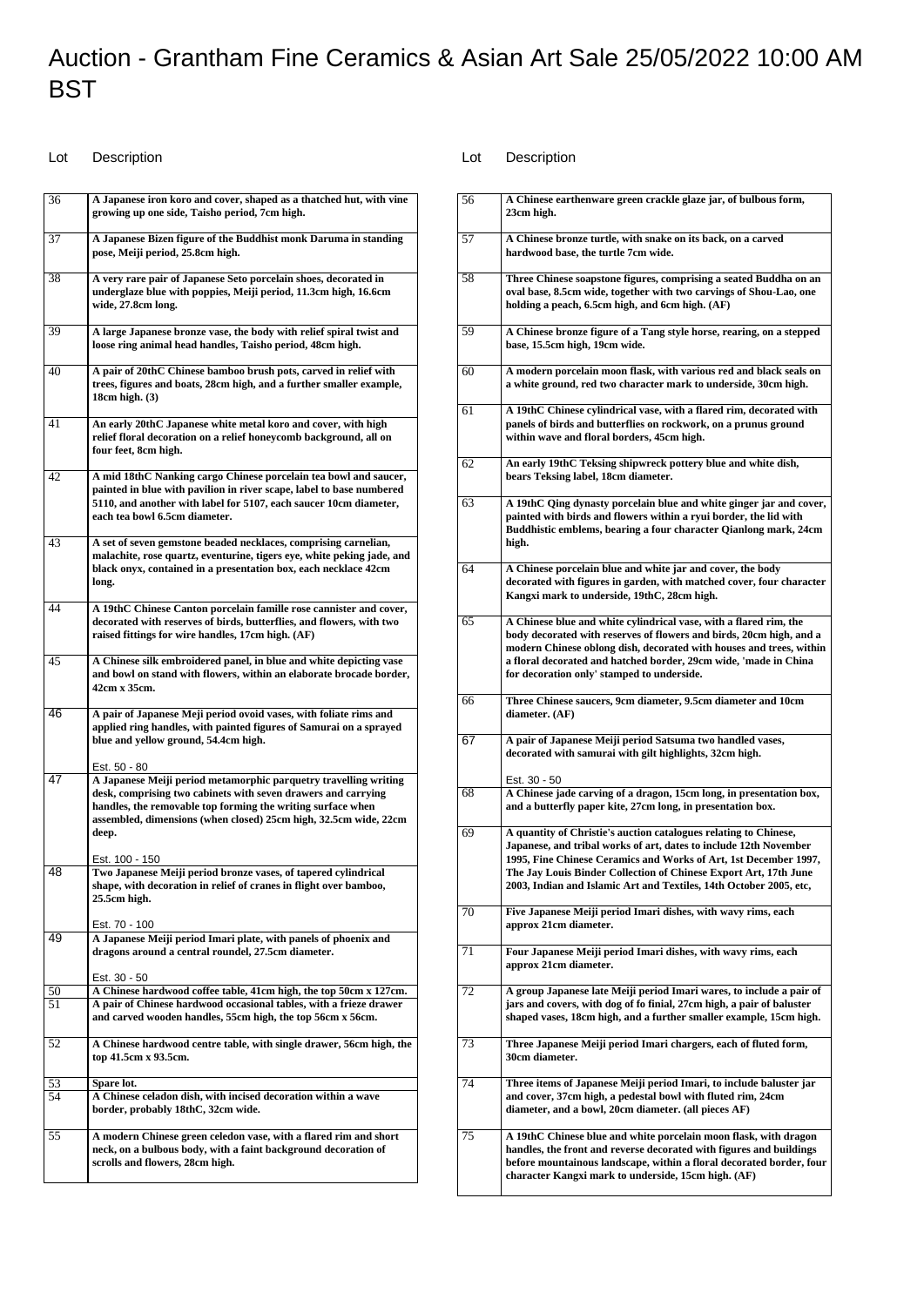36 **A Japanese iron koro and cover, shaped as a thatched hut, with vine growing up one side, Taisho period, 7cm high.** 37 **A Japanese Bizen figure of the Buddhist monk Daruma in standing pose, Meiji period, 25.8cm high.** 38 **A very rare pair of Japanese Seto porcelain shoes, decorated in underglaze blue with poppies, Meiji period, 11.3cm high, 16.6cm wide, 27.8cm long.** 39 **A large Japanese bronze vase, the body with relief spiral twist and loose ring animal head handles, Taisho period, 48cm high.** 40 **A pair of 20thC Chinese bamboo brush pots, carved in relief with trees, figures and boats, 28cm high, and a further smaller example, 18cm high. (3)** 41 **An early 20thC Japanese white metal koro and cover, with high relief floral decoration on a relief honeycomb background, all on four feet, 8cm high.** 42 **A mid 18thC Nanking cargo Chinese porcelain tea bowl and saucer, painted in blue with pavilion in river scape, label to base numbered 5110, and another with label for 5107, each saucer 10cm diameter, each tea bowl 6.5cm diameter.** 43 **A set of seven gemstone beaded necklaces, comprising carnelian, malachite, rose quartz, eventurine, tigers eye, white peking jade, and black onyx, contained in a presentation box, each necklace 42cm long.** 44 **A 19thC Chinese Canton porcelain famille rose cannister and cover, decorated with reserves of birds, butterflies, and flowers, with two raised fittings for wire handles, 17cm high. (AF)** 45 **A Chinese silk embroidered panel, in blue and white depicting vase and bowl on stand with flowers, within an elaborate brocade border, 42cm x 35cm.** 46 **A pair of Japanese Meji period ovoid vases, with foliate rims and applied ring handles, with painted figures of Samurai on a sprayed blue and yellow ground, 54.4cm high.** Est. 50 - 80 47 **A Japanese Meiji period metamorphic parquetry travelling writing desk, comprising two cabinets with seven drawers and carrying handles, the removable top forming the writing surface when assembled, dimensions (when closed) 25cm high, 32.5cm wide, 22cm deep.** Est. 100 - 150 48 **Two Japanese Meiji period bronze vases, of tapered cylindrical shape, with decoration in relief of cranes in flight over bamboo, 25.5cm high.** Est. 70 - 100 49 **A Japanese Meiji period Imari plate, with panels of phoenix and dragons around a central roundel, 27.5cm diameter.** Est. 30 - 50 50 **A Chinese hardwood coffee table, 41cm high, the top 50cm x 127cm.** 51 **A pair of Chinese hardwood occasional tables, with a frieze drawer and carved wooden handles, 55cm high, the top 56cm x 56cm.** 52 **A Chinese hardwood centre table, with single drawer, 56cm high, the top 41.5cm x 93.5cm.** 53 **Spare lot.** 54 **A Chinese celadon dish, with incised decoration within a wave border, probably 18thC, 32cm wide.** 55 **A modern Chinese green celedon vase, with a flared rim and short neck, on a bulbous body, with a faint background decoration of scrolls and flowers, 28cm high.**

| 56 | A Chinese earthenware green crackle glaze jar, of bulbous form,<br>23cm high.                                                                                                                                                                                                                                                                       |
|----|-----------------------------------------------------------------------------------------------------------------------------------------------------------------------------------------------------------------------------------------------------------------------------------------------------------------------------------------------------|
| 57 | A Chinese bronze turtle, with snake on its back, on a carved<br>hardwood base, the turtle 7cm wide.                                                                                                                                                                                                                                                 |
| 58 | Three Chinese soapstone figures, comprising a seated Buddha on an<br>oval base, 8.5cm wide, together with two carvings of Shou-Lao, one<br>holding a peach, 6.5cm high, and 6cm high. (AF)                                                                                                                                                          |
| 59 | A Chinese bronze figure of a Tang style horse, rearing, on a stepped<br>base, 15.5cm high, 19cm wide.                                                                                                                                                                                                                                               |
| 60 | A modern porcelain moon flask, with various red and black seals on<br>a white ground, red two character mark to underside, 30cm high.                                                                                                                                                                                                               |
| 61 | A 19thC Chinese cylindrical vase, with a flared rim, decorated with<br>panels of birds and butterflies on rockwork, on a prunus ground<br>within wave and floral borders, 45cm high.                                                                                                                                                                |
| 62 | An early 19thC Teksing shipwreck pottery blue and white dish,<br>bears Teksing label, 18cm diameter.                                                                                                                                                                                                                                                |
| 63 | A 19thC Qing dynasty porcelain blue and white ginger jar and cover,<br>painted with birds and flowers within a ryui border, the lid with<br>Buddhistic emblems, bearing a four character Qianlong mark, 24cm<br>high.                                                                                                                               |
| 64 | A Chinese porcelain blue and white jar and cover, the body<br>decorated with figures in garden, with matched cover, four character<br>Kangxi mark to underside, 19thC, 28cm high.                                                                                                                                                                   |
| 65 | A Chinese blue and white cylindrical vase, with a flared rim, the<br>body decorated with reserves of flowers and birds, 20cm high, and a<br>modern Chinese oblong dish, decorated with houses and trees, within<br>a floral decorated and hatched border, 29cm wide, 'made in China<br>for decoration only' stamped to underside.                   |
| 66 | Three Chinese saucers, 9cm diameter, 9.5cm diameter and 10cm<br>diameter. (AF)                                                                                                                                                                                                                                                                      |
| 67 | A pair of Japanese Meiji period Satsuma two handled vases,<br>decorated with samurai with gilt highlights, 32cm high.                                                                                                                                                                                                                               |
| 68 | Est. 30 - 50<br>A Chinese jade carving of a dragon, 15cm long, in presentation box,<br>and a butterfly paper kite, 27cm long, in presentation box.                                                                                                                                                                                                  |
| 69 | A quantity of Christie's auction catalogues relating to Chinese,<br>Japanese, and tribal works of art, dates to include 12th November<br>1995, Fine Chinese Ceramics and Works of Art, 1st December 1997,<br>The Jay Louis Binder Collection of Chinese Export Art, 17th June<br>2003, Indian and Islamic Art and Textiles, 14th October 2005, etc, |
| 70 | Five Japanese Meiji period Imari dishes, with wavy rims, each<br>approx 21cm diameter.                                                                                                                                                                                                                                                              |
| 71 | Four Japanese Meiji period Imari dishes, with wavy rims, each<br>approx 21cm diameter.                                                                                                                                                                                                                                                              |
| 72 | A group Japanese late Meiji period Imari wares, to include a pair of<br>jars and covers, with dog of fo finial, 27cm high, a pair of baluster<br>shaped vases, 18cm high, and a further smaller example, 15cm high.                                                                                                                                 |
| 73 | Three Japanese Meiji period Imari chargers, each of fluted form,<br>30cm diameter.                                                                                                                                                                                                                                                                  |
| 74 | Three items of Japanese Meiji period Imari, to include baluster jar<br>and cover, 37cm high, a pedestal bowl with fluted rim, 24cm<br>diameter, and a bowl, 20cm diameter. (all pieces AF)                                                                                                                                                          |
| 75 | A 19thC Chinese blue and white porcelain moon flask, with dragon<br>handles, the front and reverse decorated with figures and buildings<br>before mountainous landscape, within a floral decorated border, four<br>character Kangxi mark to underside, 15cm high. (AF)                                                                              |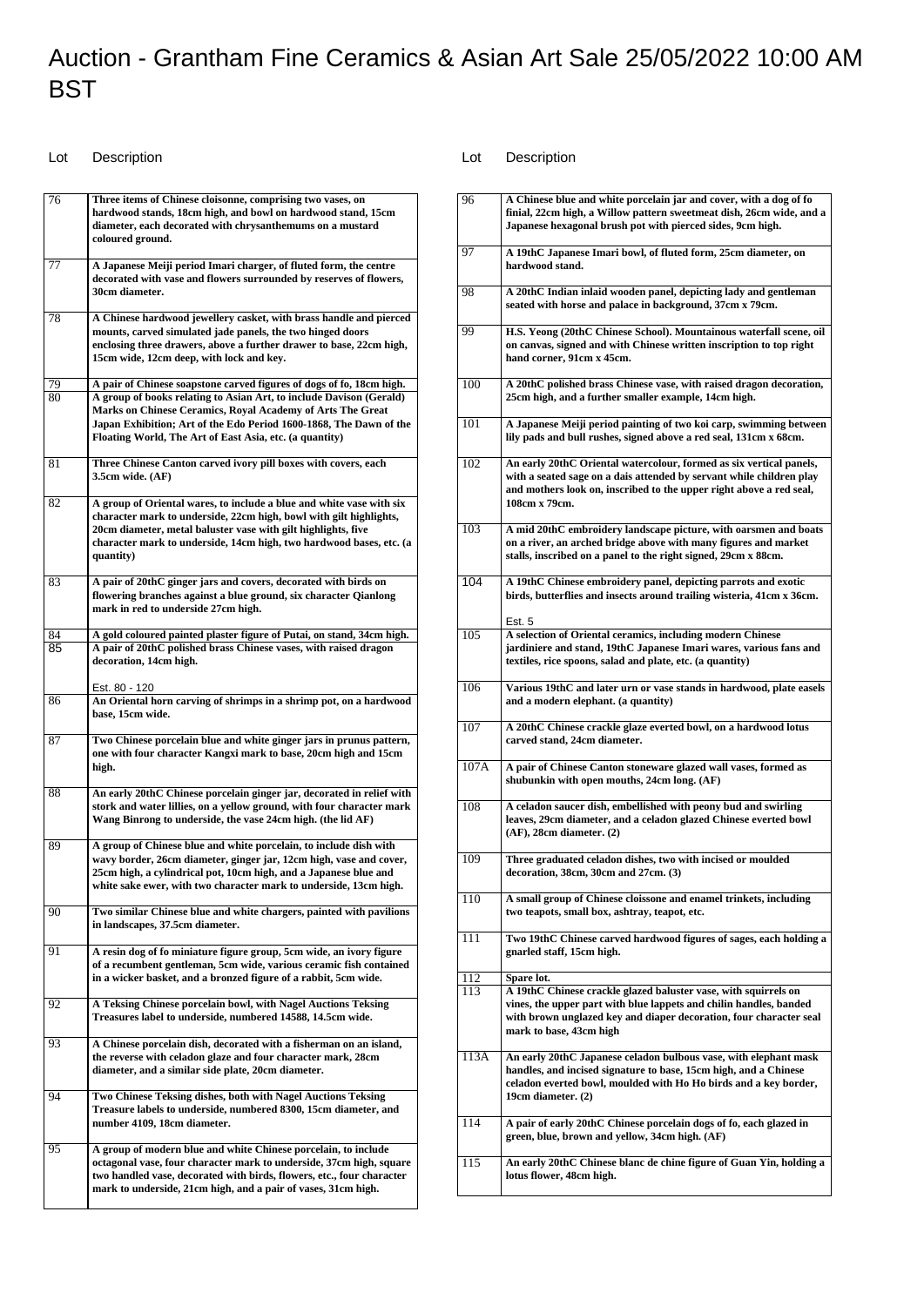| 76       | Three items of Chinese cloisonne, comprising two vases, on<br>hardwood stands, 18cm high, and bowl on hardwood stand, 15cm<br>diameter, each decorated with chrysanthemums on a mustard<br>coloured ground.                                                                                                                                |
|----------|--------------------------------------------------------------------------------------------------------------------------------------------------------------------------------------------------------------------------------------------------------------------------------------------------------------------------------------------|
| 77       | A Japanese Meiji period Imari charger, of fluted form, the centre<br>decorated with vase and flowers surrounded by reserves of flowers,<br>30cm diameter.                                                                                                                                                                                  |
| 78       | A Chinese hardwood jewellery casket, with brass handle and pierced<br>mounts, carved simulated jade panels, the two hinged doors<br>enclosing three drawers, above a further drawer to base, 22cm high,<br>15cm wide, 12cm deep, with lock and key.                                                                                        |
| 79<br>80 | A pair of Chinese soapstone carved figures of dogs of fo, 18cm high.<br>A group of books relating to Asian Art, to include Davison (Gerald)<br>Marks on Chinese Ceramics, Royal Academy of Arts The Great<br>Japan Exhibition; Art of the Edo Period 1600-1868, The Dawn of the<br>Floating World, The Art of East Asia, etc. (a quantity) |
| 81       | Three Chinese Canton carved ivory pill boxes with covers, each<br>$3.5cm$ wide. $(AF)$                                                                                                                                                                                                                                                     |
| 82       | A group of Oriental wares, to include a blue and white vase with six<br>character mark to underside, 22cm high, bowl with gilt highlights,<br>20cm diameter, metal baluster vase with gilt highlights, five<br>character mark to underside, 14cm high, two hardwood bases, etc. (a<br>quantity)                                            |
| 83       | A pair of 20thC ginger jars and covers, decorated with birds on<br>flowering branches against a blue ground, six character Qianlong<br>mark in red to underside 27cm high.                                                                                                                                                                 |
| 84<br>85 | A gold coloured painted plaster figure of Putai, on stand, 34cm high.<br>A pair of 20thC polished brass Chinese vases, with raised dragon<br>decoration, 14cm high.<br>Est. 80 - 120                                                                                                                                                       |
| 86       | An Oriental horn carving of shrimps in a shrimp pot, on a hardwood<br>base, 15cm wide.                                                                                                                                                                                                                                                     |
| 87       | Two Chinese porcelain blue and white ginger jars in prunus pattern,<br>one with four character Kangxi mark to base, 20cm high and 15cm<br>high.                                                                                                                                                                                            |
| 88       | An early 20thC Chinese porcelain ginger jar, decorated in relief with<br>stork and water lillies, on a yellow ground, with four character mark<br>Wang Binrong to underside, the vase 24cm high. (the lid AF)                                                                                                                              |
| 89       | A group of Chinese blue and white porcelain, to include dish with<br>wavy border, 26cm diameter, ginger jar, 12cm high, vase and cover,<br>25cm high, a cylindrical pot, 10cm high, and a Japanese blue and<br>white sake ewer, with two character mark to underside, 13cm high.                                                           |
| 90       | Two similar Chinese blue and white chargers, painted with pavilions<br>in landscapes, 37.5cm diameter.                                                                                                                                                                                                                                     |
| 91       | A resin dog of fo miniature figure group, 5cm wide, an ivory figure<br>of a recumbent gentleman, 5cm wide, various ceramic fish contained<br>in a wicker basket, and a bronzed figure of a rabbit, 5cm wide.                                                                                                                               |
| 92       | A Teksing Chinese porcelain bowl, with Nagel Auctions Teksing<br>Treasures label to underside, numbered 14588, 14.5cm wide.                                                                                                                                                                                                                |
| 93       | A Chinese porcelain dish, decorated with a fisherman on an island,<br>the reverse with celadon glaze and four character mark, 28cm<br>diameter, and a similar side plate, 20cm diameter.                                                                                                                                                   |
| 94       | Two Chinese Teksing dishes, both with Nagel Auctions Teksing<br>Treasure labels to underside, numbered 8300, 15cm diameter, and<br>number 4109, 18cm diameter.                                                                                                                                                                             |
| 95       | A group of modern blue and white Chinese porcelain, to include<br>octagonal vase, four character mark to underside, 37cm high, square<br>two handled vase, decorated with birds, flowers, etc., four character<br>mark to underside, 21cm high, and a pair of vases, 31cm high.                                                            |

| 96   | A Chinese blue and white porcelain jar and cover, with a dog of fo<br>finial, 22cm high, a Willow pattern sweetmeat dish, 26cm wide, and a<br>Japanese hexagonal brush pot with pierced sides, 9cm high.                               |
|------|----------------------------------------------------------------------------------------------------------------------------------------------------------------------------------------------------------------------------------------|
| 97   | A 19thC Japanese Imari bowl, of fluted form, 25cm diameter, on<br>hardwood stand.                                                                                                                                                      |
| 98   | A 20thC Indian inlaid wooden panel, depicting lady and gentleman<br>seated with horse and palace in background, 37cm x 79cm.                                                                                                           |
| 99   | H.S. Yeong (20thC Chinese School). Mountainous waterfall scene, oil<br>on canvas, signed and with Chinese written inscription to top right<br>hand corner, 91cm x 45cm.                                                                |
| 100  | A 20thC polished brass Chinese vase, with raised dragon decoration,<br>25cm high, and a further smaller example, 14cm high.                                                                                                            |
| 101  | A Japanese Meiji period painting of two koi carp, swimming between<br>lily pads and bull rushes, signed above a red seal, 131cm x 68cm.                                                                                                |
| 102  | An early 20thC Oriental watercolour, formed as six vertical panels,<br>with a seated sage on a dais attended by servant while children play<br>and mothers look on, inscribed to the upper right above a red seal,<br>108cm x 79cm.    |
| 103  | A mid 20thC embroidery landscape picture, with oarsmen and boats<br>on a river, an arched bridge above with many figures and market<br>stalls, inscribed on a panel to the right signed, 29cm x 88cm.                                  |
| 104  | A 19thC Chinese embroidery panel, depicting parrots and exotic<br>birds, butterflies and insects around trailing wisteria, 41cm x 36cm.                                                                                                |
| 105  | Est. 5<br>A selection of Oriental ceramics, including modern Chinese<br>jardiniere and stand, 19thC Japanese Imari wares, various fans and<br>textiles, rice spoons, salad and plate, etc. (a quantity)                                |
| 106  | Various 19thC and later urn or vase stands in hardwood, plate easels<br>and a modern elephant. (a quantity)                                                                                                                            |
| 107  | A 20thC Chinese crackle glaze everted bowl, on a hardwood lotus<br>carved stand, 24cm diameter.                                                                                                                                        |
| 107A | A pair of Chinese Canton stoneware glazed wall vases, formed as<br>shubunkin with open mouths, 24cm long. (AF)                                                                                                                         |
| 108  | A celadon saucer dish, embellished with peony bud and swirling<br>leaves, 29cm diameter, and a celadon glazed Chinese everted bowl<br>$(AF)$ , 28cm diameter. $(2)$                                                                    |
| 109  | Three graduated celadon dishes, two with incised or moulded<br>decoration, 38cm, 30cm and 27cm. (3)                                                                                                                                    |
| 110  | A small group of Chinese cloissone and enamel trinkets, including<br>two teapots, small box, ashtray, teapot, etc.                                                                                                                     |
| 111  | Two 19thC Chinese carved hardwood figures of sages, each holding a<br>gnarled staff, 15cm high.                                                                                                                                        |
| 112  | Spare lot.                                                                                                                                                                                                                             |
| 113  | A 19thC Chinese crackle glazed baluster vase, with squirrels on<br>vines, the upper part with blue lappets and chilin handles, banded<br>with brown unglazed key and diaper decoration, four character seal<br>mark to base, 43cm high |
| 113A | An early 20thC Japanese celadon bulbous vase, with elephant mask<br>handles, and incised signature to base, 15cm high, and a Chinese<br>celadon everted bowl, moulded with Ho Ho birds and a key border,<br>19cm diameter. (2)         |
| 114  | A pair of early 20thC Chinese porcelain dogs of fo, each glazed in<br>green, blue, brown and yellow, 34cm high. (AF)                                                                                                                   |
| 115  | An early 20thC Chinese blanc de chine figure of Guan Yin, holding a<br>lotus flower, 48cm high.                                                                                                                                        |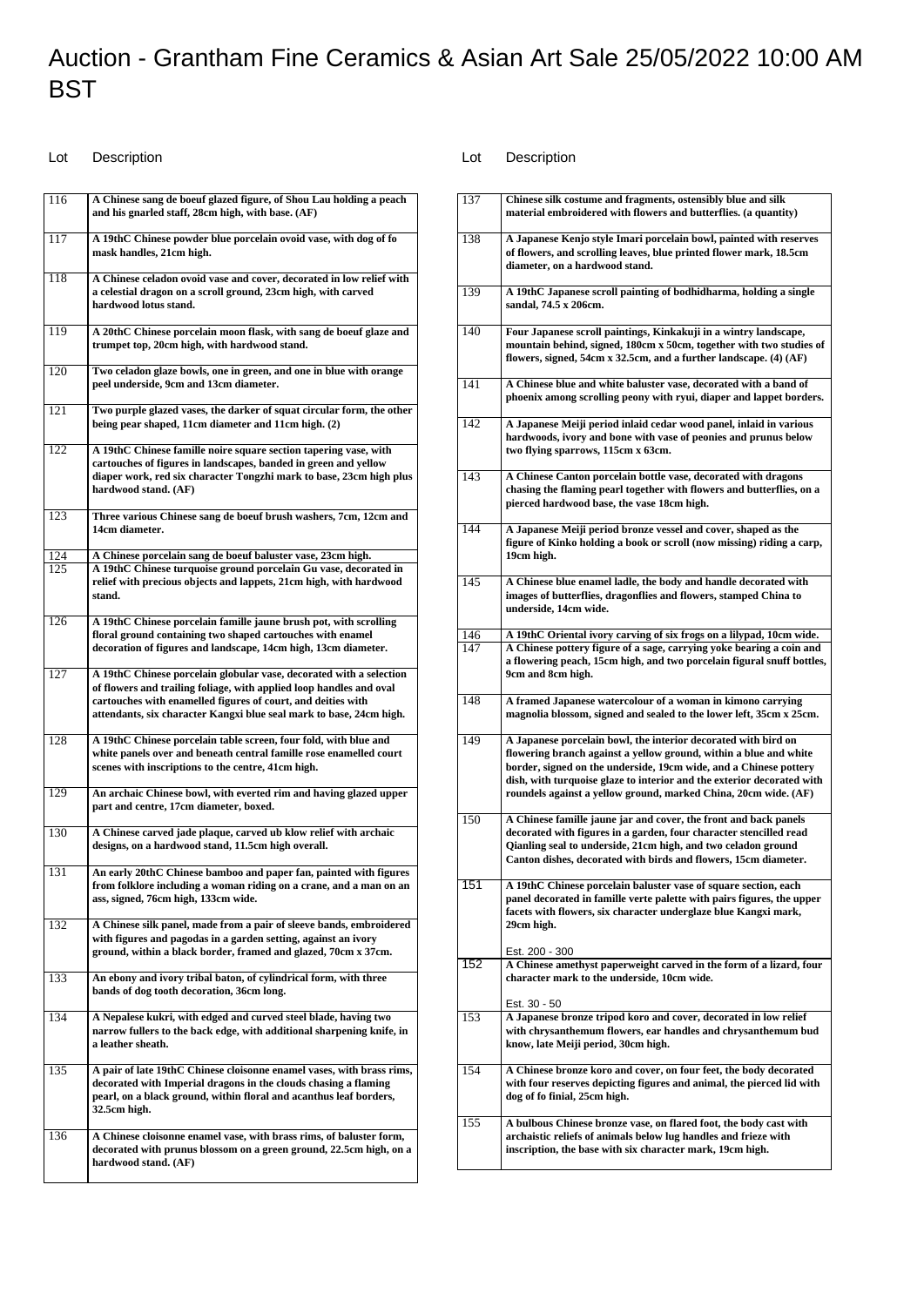### Lot Description Lot Description

116 **A Chinese sang de boeuf glazed figure, of Shou Lau holding a peach and his gnarled staff, 28cm high, with base. (AF)** 117 **A 19thC Chinese powder blue porcelain ovoid vase, with dog of fo mask handles, 21cm high.** 118 **A Chinese celadon ovoid vase and cover, decorated in low relief with a celestial dragon on a scroll ground, 23cm high, with carved hardwood lotus stand.** 119 **A 20thC Chinese porcelain moon flask, with sang de boeuf glaze and trumpet top, 20cm high, with hardwood stand.** 120 **Two celadon glaze bowls, one in green, and one in blue with orange peel underside, 9cm and 13cm diameter.** 121 **Two purple glazed vases, the darker of squat circular form, the other being pear shaped, 11cm diameter and 11cm high. (2)** 122 **A 19thC Chinese famille noire square section tapering vase, with cartouches of figures in landscapes, banded in green and yellow diaper work, red six character Tongzhi mark to base, 23cm high plus hardwood stand. (AF)** 123 **Three various Chinese sang de boeuf brush washers, 7cm, 12cm and 14cm diameter.** 124 **A Chinese porcelain sang de boeuf baluster vase, 23cm high.** 125 **A 19thC Chinese turquoise ground porcelain Gu vase, decorated in relief with precious objects and lappets, 21cm high, with hardwood stand.** 126 **A 19thC Chinese porcelain famille jaune brush pot, with scrolling floral ground containing two shaped cartouches with enamel decoration of figures and landscape, 14cm high, 13cm diameter.** 127 **A 19thC Chinese porcelain globular vase, decorated with a selection of flowers and trailing foliage, with applied loop handles and oval cartouches with enamelled figures of court, and deities with attendants, six character Kangxi blue seal mark to base, 24cm high.** 128 **A 19thC Chinese porcelain table screen, four fold, with blue and white panels over and beneath central famille rose enamelled court scenes with inscriptions to the centre, 41cm high.** 129 **An archaic Chinese bowl, with everted rim and having glazed upper part and centre, 17cm diameter, boxed.** 130 **A Chinese carved jade plaque, carved ub klow relief with archaic designs, on a hardwood stand, 11.5cm high overall.** 131 **An early 20thC Chinese bamboo and paper fan, painted with figures from folklore including a woman riding on a crane, and a man on an ass, signed, 76cm high, 133cm wide.** 132 **A Chinese silk panel, made from a pair of sleeve bands, embroidered with figures and pagodas in a garden setting, against an ivory ground, within a black border, framed and glazed, 70cm x 37cm.** 133 **An ebony and ivory tribal baton, of cylindrical form, with three bands of dog tooth decoration, 36cm long.** 134 **A Nepalese kukri, with edged and curved steel blade, having two narrow fullers to the back edge, with additional sharpening knife, in a leather sheath.** 135 **A pair of late 19thC Chinese cloisonne enamel vases, with brass rims, decorated with Imperial dragons in the clouds chasing a flaming pearl, on a black ground, within floral and acanthus leaf borders, 32.5cm high.** 136 **A Chinese cloisonne enamel vase, with brass rims, of baluster form, decorated with prunus blossom on a green ground, 22.5cm high, on a hardwood stand. (AF)**

| 137 | Chinese silk costume and fragments, ostensibly blue and silk<br>material embroidered with flowers and butterflies. (a quantity)                                                                                                                                                                                                                       |
|-----|-------------------------------------------------------------------------------------------------------------------------------------------------------------------------------------------------------------------------------------------------------------------------------------------------------------------------------------------------------|
|     |                                                                                                                                                                                                                                                                                                                                                       |
| 138 | A Japanese Kenjo style Imari porcelain bowl, painted with reserves<br>of flowers, and scrolling leaves, blue printed flower mark, 18.5cm<br>diameter, on a hardwood stand.                                                                                                                                                                            |
| 139 | A 19thC Japanese scroll painting of bodhidharma, holding a single<br>sandal, 74.5 x 206cm.                                                                                                                                                                                                                                                            |
| 140 | Four Japanese scroll paintings, Kinkakuji in a wintry landscape,<br>mountain behind, signed, 180cm x 50cm, together with two studies of<br>flowers, signed, 54cm x 32.5cm, and a further landscape. (4) (AF)                                                                                                                                          |
| 141 | A Chinese blue and white baluster vase, decorated with a band of<br>phoenix among scrolling peony with ryui, diaper and lappet borders.                                                                                                                                                                                                               |
| 142 | A Japanese Meiji period inlaid cedar wood panel, inlaid in various<br>hardwoods, ivory and bone with vase of peonies and prunus below<br>two flying sparrows, 115cm x 63cm.                                                                                                                                                                           |
| 143 | A Chinese Canton porcelain bottle vase, decorated with dragons<br>chasing the flaming pearl together with flowers and butterflies, on a<br>pierced hardwood base, the vase 18cm high.                                                                                                                                                                 |
| 144 | A Japanese Meiji period bronze vessel and cover, shaped as the<br>figure of Kinko holding a book or scroll (now missing) riding a carp,<br>19cm high.                                                                                                                                                                                                 |
| 145 | A Chinese blue enamel ladle, the body and handle decorated with<br>images of butterflies, dragonflies and flowers, stamped China to<br>underside, 14cm wide.                                                                                                                                                                                          |
| 146 | A 19thC Oriental ivory carving of six frogs on a lilypad, 10cm wide.                                                                                                                                                                                                                                                                                  |
| 147 | A Chinese pottery figure of a sage, carrying yoke bearing a coin and<br>a flowering peach, 15cm high, and two porcelain figural snuff bottles,<br>9cm and 8cm high.                                                                                                                                                                                   |
| 148 | A framed Japanese watercolour of a woman in kimono carrying<br>magnolia blossom, signed and sealed to the lower left, 35cm x 25cm.                                                                                                                                                                                                                    |
| 149 | A Japanese porcelain bowl, the interior decorated with bird on<br>flowering branch against a yellow ground, within a blue and white<br>border, signed on the underside, 19cm wide, and a Chinese pottery<br>dish, with turquoise glaze to interior and the exterior decorated with<br>roundels against a yellow ground, marked China, 20cm wide. (AF) |
| 150 | A Chinese famille jaune jar and cover, the front and back panels<br>decorated with figures in a garden, four character stencilled read<br>Qianling seal to underside, 21cm high, and two celadon ground<br>Canton dishes, decorated with birds and flowers, 15cm diameter.                                                                            |
| 151 | A 19thC Chinese porcelain baluster vase of square section, each<br>panel decorated in famille verte palette with pairs figures, the upper<br>facets with flowers, six character underglaze blue Kangxi mark,<br>29cm high.<br>Est. 200 - 300                                                                                                          |
| 152 | A Chinese amethyst paperweight carved in the form of a lizard, four<br>character mark to the underside, 10cm wide.<br>Est. 30 - 50                                                                                                                                                                                                                    |
| 153 | A Japanese bronze tripod koro and cover, decorated in low relief<br>with chrysanthemum flowers, ear handles and chrysanthemum bud<br>know, late Meiji period, 30cm high.                                                                                                                                                                              |
| 154 | A Chinese bronze koro and cover, on four feet, the body decorated<br>with four reserves depicting figures and animal, the pierced lid with<br>dog of fo finial, 25cm high.                                                                                                                                                                            |
| 155 | A bulbous Chinese bronze vase, on flared foot, the body cast with<br>archaistic reliefs of animals below lug handles and frieze with<br>inscription, the base with six character mark, 19cm high.                                                                                                                                                     |